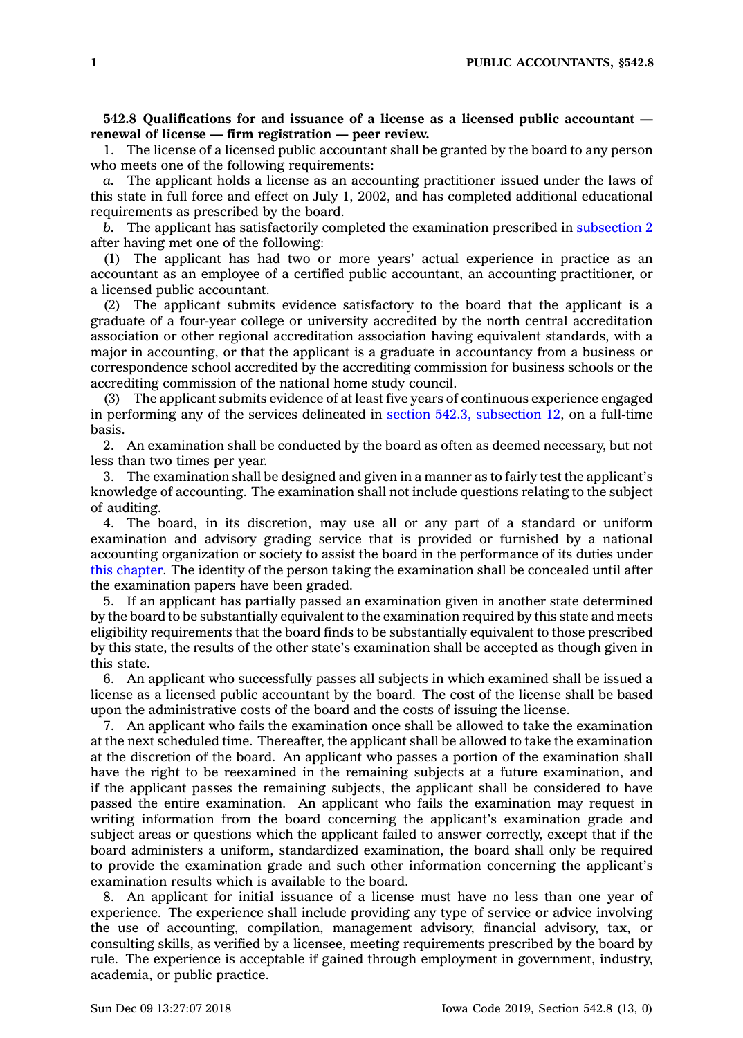**542.8 Qualifications for and issuance of <sup>a</sup> license as <sup>a</sup> licensed public accountant renewal of license — firm registration — peer review.**

1. The license of <sup>a</sup> licensed public accountant shall be granted by the board to any person who meets one of the following requirements:

*a.* The applicant holds <sup>a</sup> license as an accounting practitioner issued under the laws of this state in full force and effect on July 1, 2002, and has completed additional educational requirements as prescribed by the board.

*b.* The applicant has satisfactorily completed the examination prescribed in [subsection](https://www.legis.iowa.gov/docs/code/542.8.pdf) 2 after having met one of the following:

(1) The applicant has had two or more years' actual experience in practice as an accountant as an employee of <sup>a</sup> certified public accountant, an accounting practitioner, or <sup>a</sup> licensed public accountant.

(2) The applicant submits evidence satisfactory to the board that the applicant is <sup>a</sup> graduate of <sup>a</sup> four-year college or university accredited by the north central accreditation association or other regional accreditation association having equivalent standards, with <sup>a</sup> major in accounting, or that the applicant is <sup>a</sup> graduate in accountancy from <sup>a</sup> business or correspondence school accredited by the accrediting commission for business schools or the accrediting commission of the national home study council.

(3) The applicant submits evidence of at least five years of continuous experience engaged in performing any of the services delineated in section 542.3, [subsection](https://www.legis.iowa.gov/docs/code/542.3.pdf) 12, on <sup>a</sup> full-time basis.

2. An examination shall be conducted by the board as often as deemed necessary, but not less than two times per year.

3. The examination shall be designed and given in <sup>a</sup> manner as to fairly test the applicant's knowledge of accounting. The examination shall not include questions relating to the subject of auditing.

4. The board, in its discretion, may use all or any part of <sup>a</sup> standard or uniform examination and advisory grading service that is provided or furnished by <sup>a</sup> national accounting organization or society to assist the board in the performance of its duties under this [chapter](https://www.legis.iowa.gov/docs/code//542.pdf). The identity of the person taking the examination shall be concealed until after the examination papers have been graded.

5. If an applicant has partially passed an examination given in another state determined by the board to be substantially equivalent to the examination required by this state and meets eligibility requirements that the board finds to be substantially equivalent to those prescribed by this state, the results of the other state's examination shall be accepted as though given in this state.

6. An applicant who successfully passes all subjects in which examined shall be issued <sup>a</sup> license as <sup>a</sup> licensed public accountant by the board. The cost of the license shall be based upon the administrative costs of the board and the costs of issuing the license.

7. An applicant who fails the examination once shall be allowed to take the examination at the next scheduled time. Thereafter, the applicant shall be allowed to take the examination at the discretion of the board. An applicant who passes <sup>a</sup> portion of the examination shall have the right to be reexamined in the remaining subjects at <sup>a</sup> future examination, and if the applicant passes the remaining subjects, the applicant shall be considered to have passed the entire examination. An applicant who fails the examination may request in writing information from the board concerning the applicant's examination grade and subject areas or questions which the applicant failed to answer correctly, except that if the board administers <sup>a</sup> uniform, standardized examination, the board shall only be required to provide the examination grade and such other information concerning the applicant's examination results which is available to the board.

8. An applicant for initial issuance of <sup>a</sup> license must have no less than one year of experience. The experience shall include providing any type of service or advice involving the use of accounting, compilation, management advisory, financial advisory, tax, or consulting skills, as verified by <sup>a</sup> licensee, meeting requirements prescribed by the board by rule. The experience is acceptable if gained through employment in government, industry, academia, or public practice.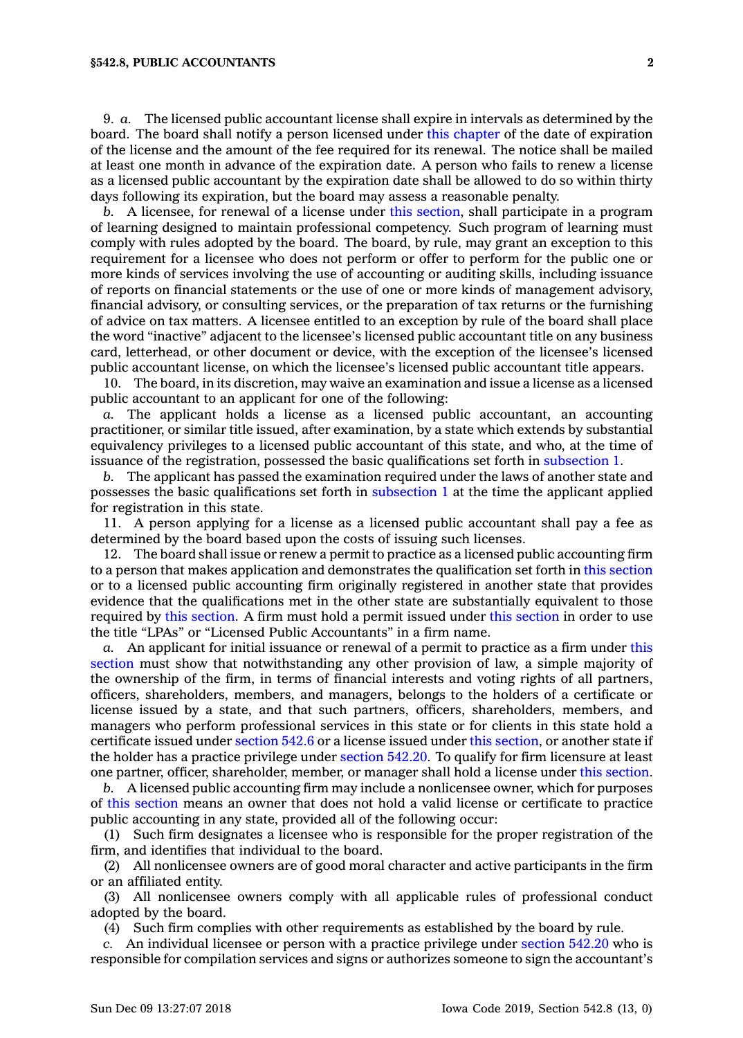## **§542.8, PUBLIC ACCOUNTANTS 2**

9. *a.* The licensed public accountant license shall expire in intervals as determined by the board. The board shall notify <sup>a</sup> person licensed under this [chapter](https://www.legis.iowa.gov/docs/code//542.pdf) of the date of expiration of the license and the amount of the fee required for its renewal. The notice shall be mailed at least one month in advance of the expiration date. A person who fails to renew <sup>a</sup> license as <sup>a</sup> licensed public accountant by the expiration date shall be allowed to do so within thirty days following its expiration, but the board may assess <sup>a</sup> reasonable penalty.

*b.* A licensee, for renewal of <sup>a</sup> license under this [section](https://www.legis.iowa.gov/docs/code/542.8.pdf), shall participate in <sup>a</sup> program of learning designed to maintain professional competency. Such program of learning must comply with rules adopted by the board. The board, by rule, may grant an exception to this requirement for <sup>a</sup> licensee who does not perform or offer to perform for the public one or more kinds of services involving the use of accounting or auditing skills, including issuance of reports on financial statements or the use of one or more kinds of management advisory, financial advisory, or consulting services, or the preparation of tax returns or the furnishing of advice on tax matters. A licensee entitled to an exception by rule of the board shall place the word "inactive" adjacent to the licensee's licensed public accountant title on any business card, letterhead, or other document or device, with the exception of the licensee's licensed public accountant license, on which the licensee's licensed public accountant title appears.

10. The board, in its discretion, may waive an examination and issue <sup>a</sup> license as <sup>a</sup> licensed public accountant to an applicant for one of the following:

*a.* The applicant holds <sup>a</sup> license as <sup>a</sup> licensed public accountant, an accounting practitioner, or similar title issued, after examination, by <sup>a</sup> state which extends by substantial equivalency privileges to <sup>a</sup> licensed public accountant of this state, and who, at the time of issuance of the registration, possessed the basic qualifications set forth in [subsection](https://www.legis.iowa.gov/docs/code/542.8.pdf) 1.

*b.* The applicant has passed the examination required under the laws of another state and possesses the basic qualifications set forth in [subsection](https://www.legis.iowa.gov/docs/code/542.8.pdf) 1 at the time the applicant applied for registration in this state.

11. A person applying for <sup>a</sup> license as <sup>a</sup> licensed public accountant shall pay <sup>a</sup> fee as determined by the board based upon the costs of issuing such licenses.

12. The board shall issue or renew <sup>a</sup> permit to practice as <sup>a</sup> licensed public accounting firm to <sup>a</sup> person that makes application and demonstrates the qualification set forth in this [section](https://www.legis.iowa.gov/docs/code/542.8.pdf) or to <sup>a</sup> licensed public accounting firm originally registered in another state that provides evidence that the qualifications met in the other state are substantially equivalent to those required by this [section](https://www.legis.iowa.gov/docs/code/542.8.pdf). A firm must hold <sup>a</sup> permit issued under this [section](https://www.legis.iowa.gov/docs/code/542.8.pdf) in order to use the title "LPAs" or "Licensed Public Accountants" in <sup>a</sup> firm name.

*a.* An applicant for initial issuance or renewal of <sup>a</sup> permit to practice as <sup>a</sup> firm under [this](https://www.legis.iowa.gov/docs/code/542.8.pdf) [section](https://www.legis.iowa.gov/docs/code/542.8.pdf) must show that notwithstanding any other provision of law, <sup>a</sup> simple majority of the ownership of the firm, in terms of financial interests and voting rights of all partners, officers, shareholders, members, and managers, belongs to the holders of <sup>a</sup> certificate or license issued by <sup>a</sup> state, and that such partners, officers, shareholders, members, and managers who perform professional services in this state or for clients in this state hold <sup>a</sup> certificate issued under [section](https://www.legis.iowa.gov/docs/code/542.6.pdf) 542.6 or <sup>a</sup> license issued under this [section](https://www.legis.iowa.gov/docs/code/542.8.pdf), or another state if the holder has <sup>a</sup> practice privilege under [section](https://www.legis.iowa.gov/docs/code/542.20.pdf) 542.20. To qualify for firm licensure at least one partner, officer, shareholder, member, or manager shall hold <sup>a</sup> license under this [section](https://www.legis.iowa.gov/docs/code/542.8.pdf).

*b.* A licensed public accounting firm may include <sup>a</sup> nonlicensee owner, which for purposes of this [section](https://www.legis.iowa.gov/docs/code/542.8.pdf) means an owner that does not hold <sup>a</sup> valid license or certificate to practice public accounting in any state, provided all of the following occur:

(1) Such firm designates <sup>a</sup> licensee who is responsible for the proper registration of the firm, and identifies that individual to the board.

(2) All nonlicensee owners are of good moral character and active participants in the firm or an affiliated entity.

(3) All nonlicensee owners comply with all applicable rules of professional conduct adopted by the board.

(4) Such firm complies with other requirements as established by the board by rule.

*c.* An individual licensee or person with <sup>a</sup> practice privilege under [section](https://www.legis.iowa.gov/docs/code/542.20.pdf) 542.20 who is responsible for compilation services and signs or authorizes someone to sign the accountant's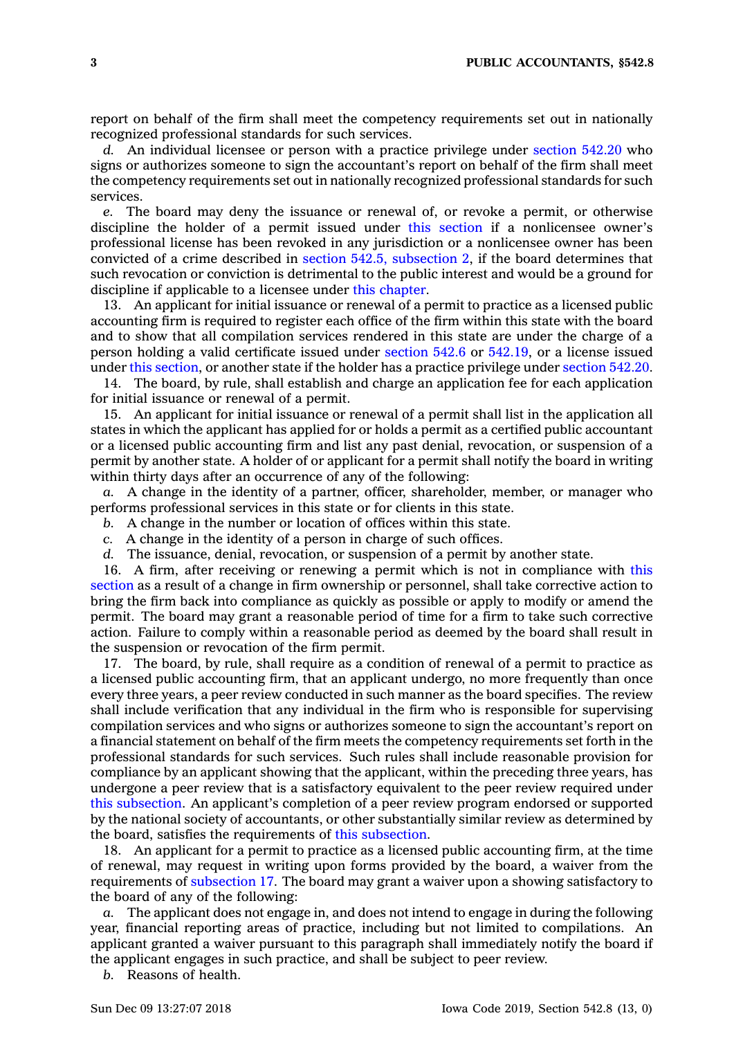report on behalf of the firm shall meet the competency requirements set out in nationally recognized professional standards for such services.

*d.* An individual licensee or person with <sup>a</sup> practice privilege under [section](https://www.legis.iowa.gov/docs/code/542.20.pdf) 542.20 who signs or authorizes someone to sign the accountant's report on behalf of the firm shall meet the competency requirements set out in nationally recognized professional standards for such services.

*e.* The board may deny the issuance or renewal of, or revoke <sup>a</sup> permit, or otherwise discipline the holder of <sup>a</sup> permit issued under this [section](https://www.legis.iowa.gov/docs/code/542.8.pdf) if <sup>a</sup> nonlicensee owner's professional license has been revoked in any jurisdiction or <sup>a</sup> nonlicensee owner has been convicted of <sup>a</sup> crime described in section 542.5, [subsection](https://www.legis.iowa.gov/docs/code/542.5.pdf) 2, if the board determines that such revocation or conviction is detrimental to the public interest and would be <sup>a</sup> ground for discipline if applicable to <sup>a</sup> licensee under this [chapter](https://www.legis.iowa.gov/docs/code//542.pdf).

13. An applicant for initial issuance or renewal of <sup>a</sup> permit to practice as <sup>a</sup> licensed public accounting firm is required to register each office of the firm within this state with the board and to show that all compilation services rendered in this state are under the charge of <sup>a</sup> person holding <sup>a</sup> valid certificate issued under [section](https://www.legis.iowa.gov/docs/code/542.6.pdf) 542.6 or [542.19](https://www.legis.iowa.gov/docs/code/542.19.pdf), or <sup>a</sup> license issued under this [section](https://www.legis.iowa.gov/docs/code/542.8.pdf), or another state if the holder has <sup>a</sup> practice privilege under [section](https://www.legis.iowa.gov/docs/code/542.20.pdf) 542.20.

14. The board, by rule, shall establish and charge an application fee for each application for initial issuance or renewal of <sup>a</sup> permit.

15. An applicant for initial issuance or renewal of <sup>a</sup> permit shall list in the application all states in which the applicant has applied for or holds <sup>a</sup> permit as <sup>a</sup> certified public accountant or <sup>a</sup> licensed public accounting firm and list any past denial, revocation, or suspension of <sup>a</sup> permit by another state. A holder of or applicant for <sup>a</sup> permit shall notify the board in writing within thirty days after an occurrence of any of the following:

*a.* A change in the identity of <sup>a</sup> partner, officer, shareholder, member, or manager who performs professional services in this state or for clients in this state.

- *b.* A change in the number or location of offices within this state.
- *c.* A change in the identity of <sup>a</sup> person in charge of such offices.
- *d.* The issuance, denial, revocation, or suspension of <sup>a</sup> permit by another state.

16. A firm, after receiving or renewing <sup>a</sup> permit which is not in compliance with [this](https://www.legis.iowa.gov/docs/code/542.8.pdf) [section](https://www.legis.iowa.gov/docs/code/542.8.pdf) as <sup>a</sup> result of <sup>a</sup> change in firm ownership or personnel, shall take corrective action to bring the firm back into compliance as quickly as possible or apply to modify or amend the permit. The board may grant <sup>a</sup> reasonable period of time for <sup>a</sup> firm to take such corrective action. Failure to comply within <sup>a</sup> reasonable period as deemed by the board shall result in the suspension or revocation of the firm permit.

17. The board, by rule, shall require as <sup>a</sup> condition of renewal of <sup>a</sup> permit to practice as <sup>a</sup> licensed public accounting firm, that an applicant undergo, no more frequently than once every three years, <sup>a</sup> peer review conducted in such manner as the board specifies. The review shall include verification that any individual in the firm who is responsible for supervising compilation services and who signs or authorizes someone to sign the accountant's report on <sup>a</sup> financial statement on behalf of the firm meets the competency requirements set forth in the professional standards for such services. Such rules shall include reasonable provision for compliance by an applicant showing that the applicant, within the preceding three years, has undergone <sup>a</sup> peer review that is <sup>a</sup> satisfactory equivalent to the peer review required under this [subsection](https://www.legis.iowa.gov/docs/code/542.8.pdf). An applicant's completion of <sup>a</sup> peer review program endorsed or supported by the national society of accountants, or other substantially similar review as determined by the board, satisfies the requirements of this [subsection](https://www.legis.iowa.gov/docs/code/542.8.pdf).

18. An applicant for <sup>a</sup> permit to practice as <sup>a</sup> licensed public accounting firm, at the time of renewal, may request in writing upon forms provided by the board, <sup>a</sup> waiver from the requirements of [subsection](https://www.legis.iowa.gov/docs/code/542.8.pdf) 17. The board may grant <sup>a</sup> waiver upon <sup>a</sup> showing satisfactory to the board of any of the following:

*a.* The applicant does not engage in, and does not intend to engage in during the following year, financial reporting areas of practice, including but not limited to compilations. An applicant granted <sup>a</sup> waiver pursuant to this paragraph shall immediately notify the board if the applicant engages in such practice, and shall be subject to peer review.

*b.* Reasons of health.